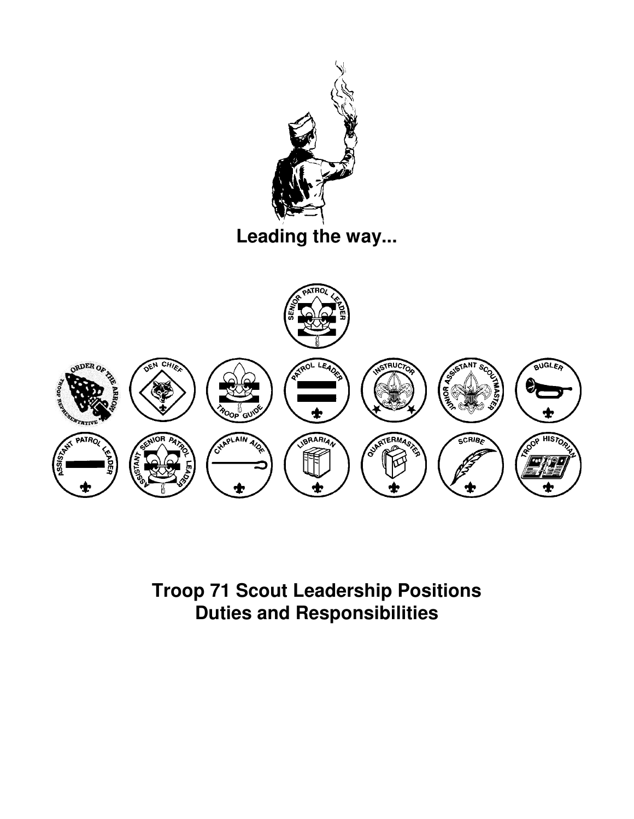



**Troop 71 Scout Leadership Positions Duties and Responsibilities**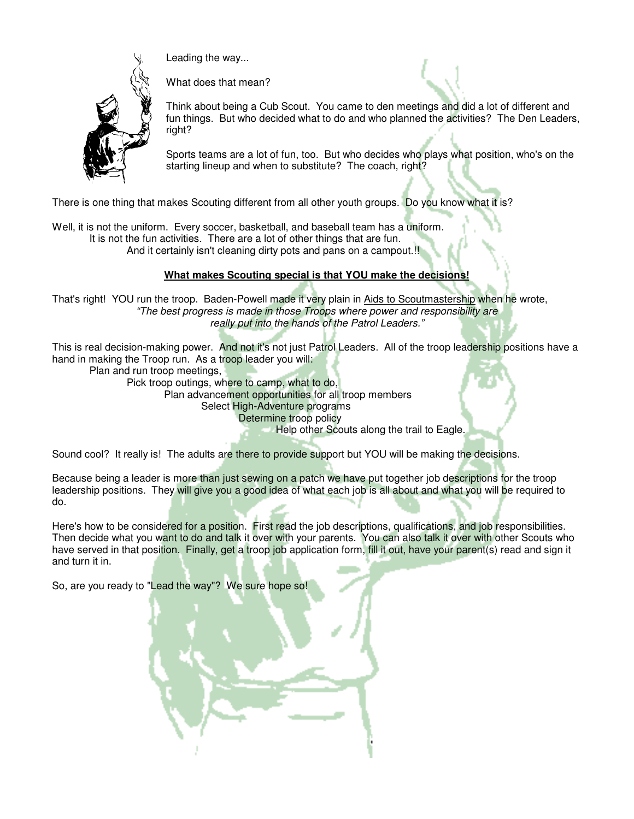

Leading the way...

What does that mean?

Think about being a Cub Scout. You came to den meetings and did a lot of different and fun things. But who decided what to do and who planned the activities? The Den Leaders, right?

Sports teams are a lot of fun, too. But who decides who plays what position, who's on the starting lineup and when to substitute? The coach, right?

There is one thing that makes Scouting different from all other youth groups. Do you know what it is?

Well, it is not the uniform. Every soccer, basketball, and baseball team has a uniform. It is not the fun activities. There are a lot of other things that are fun. And it certainly isn't cleaning dirty pots and pans on a campout.<sup>[1]</sup>

## **What makes Scouting special is that YOU make the decisions!**

That's right! YOU run the troop. Baden-Powell made it very plain in Aids to Scoutmastership when he wrote, "The best progress is made in those Troops where power and responsibility are really put into the hands of the Patrol Leaders."

This is real decision-making power. And not it's not just Patrol Leaders. All of the troop leadership positions have a hand in making the Troop run. As a troop leader you will:

Plan and run troop meetings,

Pick troop outings, where to camp, what to do,

Plan advancement opportunities for all troop members

Select High-Adventure programs

Determine troop policy

Help other Scouts along the trail to Eagle.

Sound cool? It really is! The adults are there to provide support but YOU will be making the decisions.

Because being a leader is more than just sewing on a patch we have put together job descriptions for the troop leadership positions. They will give you a good idea of what each job is all about and what you will be required to do.

Here's how to be considered for a position. First read the job descriptions, qualifications, and job responsibilities. Then decide what you want to do and talk it over with your parents. You can also talk it over with other Scouts who have served in that position. Finally, get a troop job application form, fill it out, have your parent(s) read and sign it and turn it in.

So, are you ready to "Lead the way"? We sure hope so!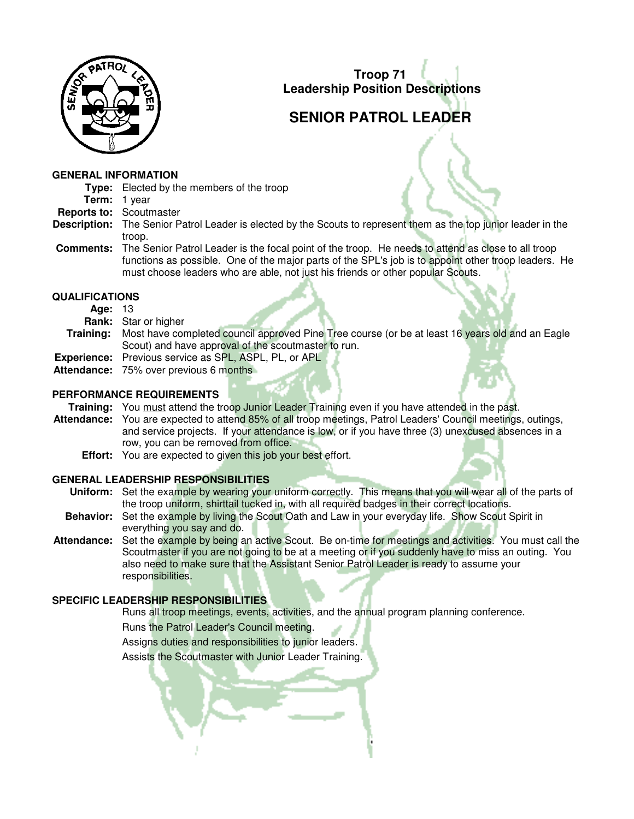

# **SENIOR PATROL LEADER**

## **GENERAL INFORMATION**

**Type:** Elected by the members of the troop

- **Term:** 1 year
- **Reports to:** Scoutmaster
- **Description:** The Senior Patrol Leader is elected by the Scouts to represent them as the top junior leader in the troop.
- **Comments:** The Senior Patrol Leader is the focal point of the troop. He needs to attend as close to all troop functions as possible. One of the major parts of the SPL's job is to appoint other troop leaders. He must choose leaders who are able, not just his friends or other popular Scouts.

## **QUALIFICATIONS**

- **Age:** 13
- **Rank:** Star or higher
- **Training:** Most have completed council approved Pine Tree course (or be at least 16 years old and an Eagle Scout) and have approval of the scoutmaster to run.
- **Experience:** Previous service as SPL, ASPL, PL, or APL
- Attendance: 75% over previous 6 months<sup>1</sup>

## **PERFORMANCE REQUIREMENTS**

**Training:** You must attend the troop Junior Leader Training even if you have attended in the past.

- **Attendance:** You are expected to attend 85% of all troop meetings, Patrol Leaders' Council meetings, outings, and service projects. If your attendance is low, or if you have three (3) unexcused absences in a row, you can be removed from office.
	- **Effort:** You are expected to given this job your best effort.

## **GENERAL LEADERSHIP RESPONSIBILITIES**

- **Uniform:** Set the example by wearing your uniform correctly. This means that you will wear all of the parts of the troop uniform, shirttail tucked in, with all required badges in their correct locations.
- **Behavior:** Set the example by living the Scout Oath and Law in your everyday life. Show Scout Spirit in everything you say and do.
- **Attendance:** Set the example by being an active Scout. Be on-time for meetings and activities. You must call the Scoutmaster if you are not going to be at a meeting or if you suddenly have to miss an outing. You also need to make sure that the Assistant Senior Patrol Leader is ready to assume your responsibilities.

## **SPECIFIC LEADERSHIP RESPONSIBILITIES**

Runs all troop meetings, events, activities, and the annual program planning conference.

Runs the Patrol Leader's Council meeting.

Assigns duties and responsibilities to junior leaders.

Assists the Scoutmaster with Junior Leader Training.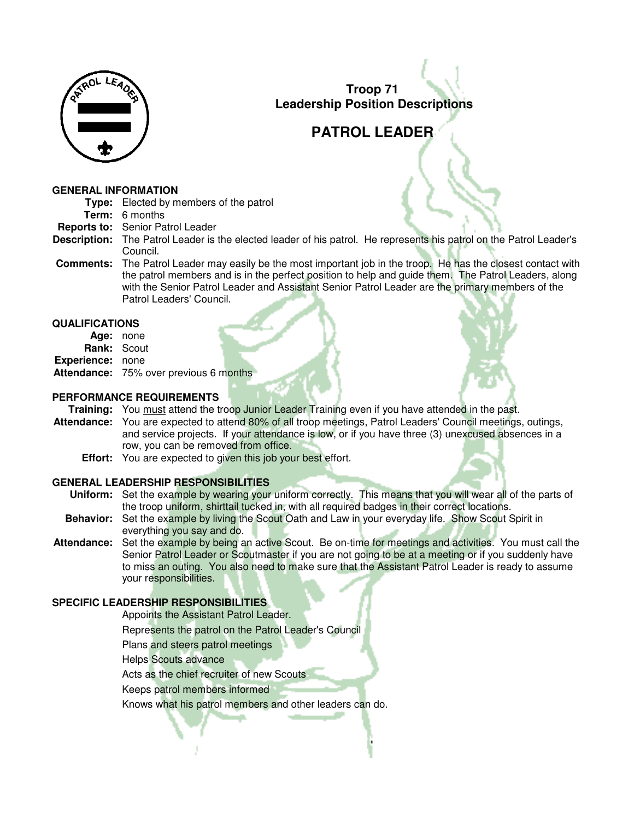

# **PATROL LEADER**

#### **GENERAL INFORMATION**

- **Type:** Elected by members of the patrol
	- **Term:** 6 months
- **Reports to:** Senior Patrol Leader
- **Description:** The Patrol Leader is the elected leader of his patrol. He represents his patrol on the Patrol Leader's Council.
- **Comments:** The Patrol Leader may easily be the most important job in the troop. He has the closest contact with the patrol members and is in the perfect position to help and quide them. The Patrol Leaders, along with the Senior Patrol Leader and Assistant Senior Patrol Leader are the primary members of the Patrol Leaders' Council.

## **QUALIFICATIONS**

| Age: none               |                                               |  |
|-------------------------|-----------------------------------------------|--|
| <b>Rank: Scout</b>      |                                               |  |
| <b>Experience:</b> none |                                               |  |
|                         | <b>Attendance:</b> 75% over previous 6 months |  |

## **PERFORMANCE REQUIREMENTS**

Training: You must attend the troop Junior Leader Training even if you have attended in the past.

- **Attendance:** You are expected to attend 80% of all troop meetings, Patrol Leaders' Council meetings, outings, and service projects. If your attendance is low, or if you have three (3) unexcused absences in a row, you can be removed from office.
	- **Effort:** You are expected to given this job your best effort.

## **GENERAL LEADERSHIP RESPONSIBILITIES**

- **Uniform:** Set the example by wearing your uniform correctly. This means that you will wear all of the parts of the troop uniform, shirttail tucked in, with all required badges in their correct locations.
- **Behavior:** Set the example by living the Scout Oath and Law in your everyday life. Show Scout Spirit in everything you say and do.
- **Attendance:** Set the example by being an active Scout. Be on-time for meetings and activities. You must call the Senior Patrol Leader or Scoutmaster if you are not going to be at a meeting or if you suddenly have to miss an outing. You also need to make sure that the Assistant Patrol Leader is ready to assume your responsibilities.

## **SPECIFIC LEADERSHIP RESPONSIBILITIES**

Appoints the Assistant Patrol Leader.

Represents the patrol on the Patrol Leader's Council

Plans and steers patrol meetings

Helps Scouts advance

Acts as the chief recruiter of new Scouts

Keeps patrol members informed

Knows what his patrol members and other leaders can do.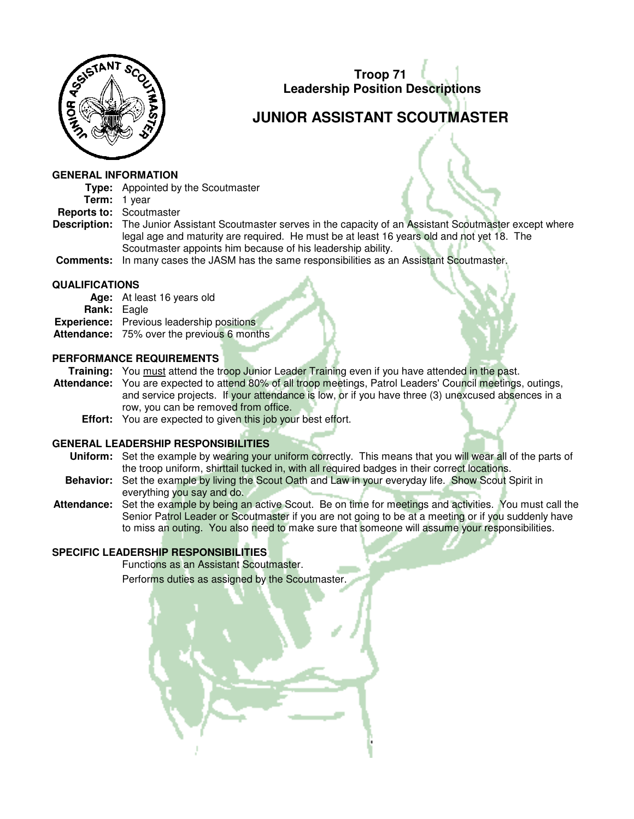

# **JUNIOR ASSISTANT SCOUTMASTER**

#### **GENERAL INFORMATION**

- **Type:** Appointed by the Scoutmaster
- **Term:** 1 year
- **Reports to:** Scoutmaster
- **Description:** The Junior Assistant Scoutmaster serves in the capacity of an Assistant Scoutmaster except where legal age and maturity are required. He must be at least 16 years old and not yet 18. The Scoutmaster appoints him because of his leadership ability.
- **Comments:** In many cases the JASM has the same responsibilities as an Assistant Scoutmaster.

## **QUALIFICATIONS**

**Age:** At least 16 years old **Rank:** Eagle **Experience:** Previous leadership positions **Attendance:** 75% over the previous 6 months

## **PERFORMANCE REQUIREMENTS**

- **Training:** You must attend the troop Junior Leader Training even if you have attended in the past.
- **Attendance:** You are expected to attend 80% of all troop meetings, Patrol Leaders' Council meetings, outings, and service projects. If your attendance is low, or if you have three (3) unexcused absences in a row, you can be removed from office.
	- **Effort:** You are expected to given this job your best effort.

## **GENERAL LEADERSHIP RESPONSIBILITIES**

- **Uniform:** Set the example by wearing your uniform correctly. This means that you will wear all of the parts of the troop uniform, shirttail tucked in, with all required badges in their correct locations.
- **Behavior:** Set the example by living the Scout Oath and Law in your everyday life. Show Scout Spirit in everything you say and do.
- **Attendance:** Set the example by being an active Scout. Be on time for meetings and activities. You must call the Senior Patrol Leader or Scoutmaster if you are not going to be at a meeting or if you suddenly have to miss an outing. You also need to make sure that someone will assume your responsibilities.

## **SPECIFIC LEADERSHIP RESPONSIBILITIES**

 Functions as an Assistant Scoutmaster. Performs duties as assigned by the Scoutmaster.

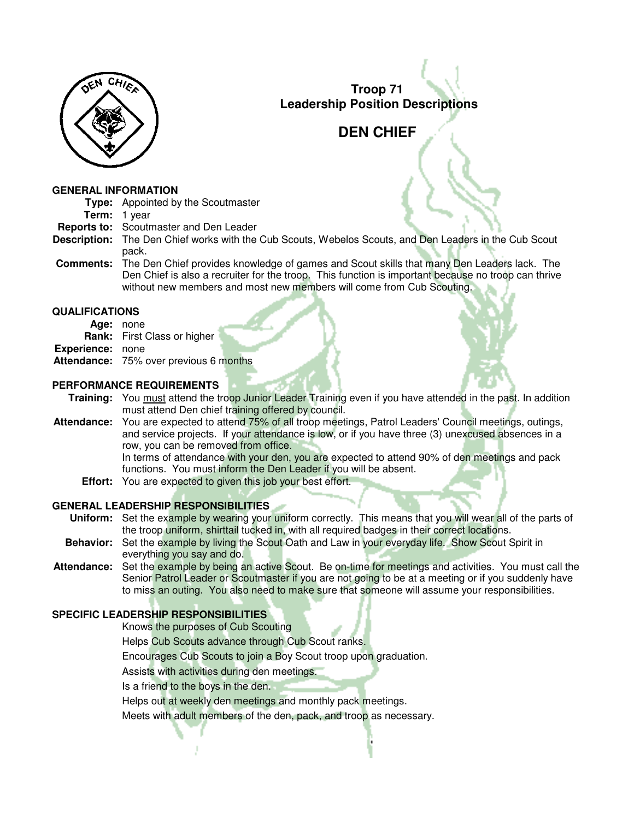

## **DEN CHIEF**

#### **GENERAL INFORMATION**

**Type:** Appointed by the Scoutmaster

- **Term:** 1 year
- **Reports to:** Scoutmaster and Den Leader
- **Description:** The Den Chief works with the Cub Scouts, Webelos Scouts, and Den Leaders in the Cub Scout pack.
- **Comments:** The Den Chief provides knowledge of games and Scout skills that many Den Leaders lack. The Den Chief is also a recruiter for the troop. This function is important because no troop can thrive without new members and most new members will come from Cub Scouting.

## **QUALIFICATIONS**

- **Age:** none
- **Rank:** First Class or higher
- **Experience:** none
- **Attendance:** 75% over previous 6 months

## **PERFORMANCE REQUIREMENTS**

**Training:** You must attend the troop Junior Leader Training even if you have attended in the past. In addition must attend Den chief training offered by council.

**Attendance:** You are expected to attend 75% of all troop meetings, Patrol Leaders' Council meetings, outings, and service projects. If your attendance is low, or if you have three (3) unexcused absences in a row, you can be removed from office.

 In terms of attendance with your den, you are expected to attend 90% of den meetings and pack functions. You must inform the Den Leader if you will be absent.

**Effort:** You are expected to given this job your best effort.

## **GENERAL LEADERSHIP RESPONSIBILITIES**

 **Uniform:** Set the example by wearing your uniform correctly. This means that you will wear all of the parts of the troop uniform, shirttail tucked in, with all required badges in their correct locations.

- **Behavior:** Set the example by living the Scout Oath and Law in your everyday life. Show Scout Spirit in everything you say and do.
- **Attendance:** Set the example by being an active Scout. Be on-time for meetings and activities. You must call the Senior Patrol Leader or Scoutmaster if you are not going to be at a meeting or if you suddenly have to miss an outing. You also need to make sure that someone will assume your responsibilities.

## **SPECIFIC LEADERSHIP RESPONSIBILITIES**

- Knows the purposes of Cub Scouting
- Helps Cub Scouts advance through Cub Scout ranks.
- Encourages Cub Scouts to join a Boy Scout troop upon graduation.
- Assists with activities during den meetings.
- Is a friend to the boys in the den.
- Helps out at weekly den meetings and monthly pack meetings.
- Meets with adult members of the den, pack, and troop as necessary.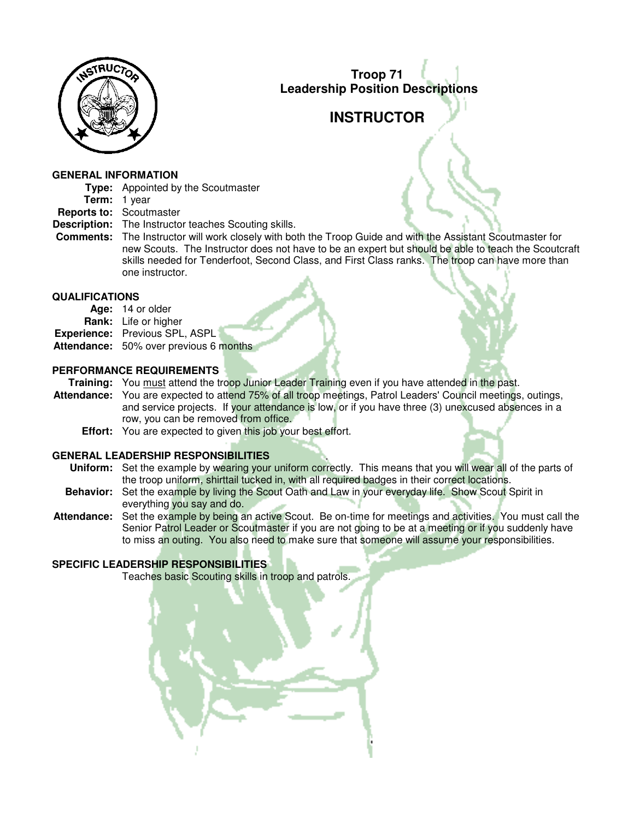

# **INSTRUCTOR**

#### **GENERAL INFORMATION**

- **Type:** Appointed by the Scoutmaster
- **Term:** 1 year
- **Reports to:** Scoutmaster
- **Description:** The Instructor teaches Scouting skills.
- **Comments:** The Instructor will work closely with both the Troop Guide and with the Assistant Scoutmaster for new Scouts. The Instructor does not have to be an expert but should be able to teach the Scoutcraft skills needed for Tenderfoot, Second Class, and First Class ranks. The troop can have more than one instructor.

#### **QUALIFICATIONS**

| Age: 14 or older                              |  |
|-----------------------------------------------|--|
| <b>Rank:</b> Life or higher                   |  |
| <b>Experience:</b> Previous SPL, ASPL         |  |
| <b>Attendance:</b> 50% over previous 6 months |  |

#### **PERFORMANCE REQUIREMENTS**

**Training:** You must attend the troop Junior Leader Training even if you have attended in the past.

- **Attendance:** You are expected to attend 75% of all troop meetings, Patrol Leaders' Council meetings, outings, and service projects. If your attendance is low, or if you have three (3) unexcused absences in a row, you can be removed from office.
	- **Effort:** You are expected to given this job your best effort.

## **GENERAL LEADERSHIP RESPONSIBILITIES**

- **Uniform:** Set the example by wearing your uniform correctly. This means that you will wear all of the parts of the troop uniform, shirttail tucked in, with all required badges in their correct locations.
- **Behavior:** Set the example by living the Scout Oath and Law in your everyday life. Show Scout Spirit in everything you say and do.
- **Attendance:** Set the example by being an active Scout. Be on-time for meetings and activities. You must call the Senior Patrol Leader or Scoutmaster if you are not going to be at a meeting or if you suddenly have to miss an outing. You also need to make sure that someone will assume your responsibilities.

## **SPECIFIC LEADERSHIP RESPONSIBILITIES**

Teaches basic Scouting skills in troop and patrols.

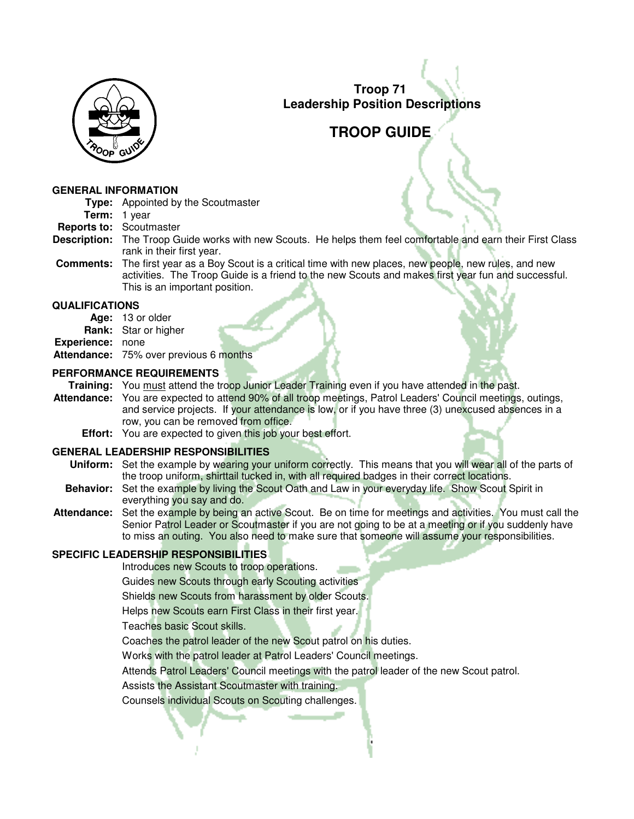

## **TROOP GUIDE**

#### **GENERAL INFORMATION**

- **Type:** Appointed by the Scoutmaster
- **Term:** 1 year
- **Reports to:** Scoutmaster
- **Description:** The Troop Guide works with new Scouts. He helps them feel comfortable and earn their First Class rank in their first year.
- **Comments:** The first year as a Boy Scout is a critical time with new places, new people, new rules, and new activities. The Troop Guide is a friend to the new Scouts and makes first year fun and successful. This is an important position.

#### **QUALIFICATIONS**

- **Age:** 13 or older
- **Rank:** Star or higher
- **Experience:** none
- **Attendance:** 75% over previous 6 months

#### **PERFORMANCE REQUIREMENTS**

- **Training:** You must attend the troop Junior Leader Training even if you have attended in the past.
- **Attendance:** You are expected to attend 90% of all troop meetings, Patrol Leaders' Council meetings, outings, and service projects. If your attendance is low, or if you have three (3) unexcused absences in a row, you can be removed from office.
	- **Effort:** You are expected to given this job your best effort.

## **GENERAL LEADERSHIP RESPONSIBILITIES**

- **Uniform:** Set the example by wearing your uniform correctly. This means that you will wear all of the parts of the troop uniform, shirttail tucked in, with all required badges in their correct locations.
- **Behavior:** Set the example by living the Scout Oath and Law in your everyday life. Show Scout Spirit in everything you say and do.
- **Attendance:** Set the example by being an active Scout. Be on time for meetings and activities. You must call the Senior Patrol Leader or Scoutmaster if you are not going to be at a meeting or if you suddenly have to miss an outing. You also need to make sure that someone will assume your responsibilities.

## **SPECIFIC LEADERSHIP RESPONSIBILITIES**

Introduces new Scouts to troop operations.

Guides new Scouts through early Scouting activities

Shields new Scouts from harassment by older Scouts.

Helps new Scouts earn First Class in their first year.

Teaches basic Scout skills.

Coaches the patrol leader of the new Scout patrol on his duties.

Works with the patrol leader at Patrol Leaders' Council meetings.

Attends Patrol Leaders' Council meetings with the patrol leader of the new Scout patrol.

Assists the Assistant Scoutmaster with training.

Counsels individual Scouts on Scouting challenges.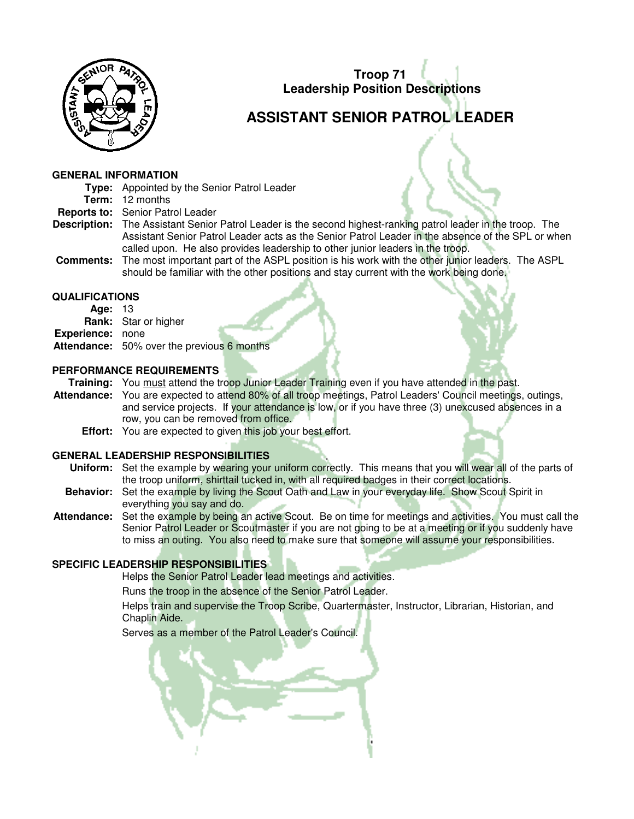

# **ASSISTANT SENIOR PATROL LEADER**

#### **GENERAL INFORMATION**

- **Type:** Appointed by the Senior Patrol Leader
- **Term:** 12 months
- **Reports to:** Senior Patrol Leader
- **Description:** The Assistant Senior Patrol Leader is the second highest-ranking patrol leader in the troop. The Assistant Senior Patrol Leader acts as the Senior Patrol Leader in the absence of the SPL or when called upon. He also provides leadership to other junior leaders in the troop.
- **Comments:** The most important part of the ASPL position is his work with the other junior leaders. The ASPL should be familiar with the other positions and stay current with the work being done.

## **QUALIFICATIONS**

- **Age:** 13
- **Rank:** Star or higher **Experience:** none **Attendance:** 50% over the previous 6 months

## **PERFORMANCE REQUIREMENTS**

**Training:** You must attend the troop Junior Leader Training even if you have attended in the past.

- **Attendance:** You are expected to attend 80% of all troop meetings, Patrol Leaders' Council meetings, outings, and service projects. If your attendance is low, or if you have three (3) unexcused absences in a row, you can be removed from office.
	- **Effort:** You are expected to given this job your best effort.

## **GENERAL LEADERSHIP RESPONSIBILITIES**

- **Uniform:** Set the example by wearing your uniform correctly. This means that you will wear all of the parts of the troop uniform, shirttail tucked in, with all required badges in their correct locations.
- **Behavior:** Set the example by living the Scout Oath and Law in your everyday life. Show Scout Spirit in everything you say and do.
- **Attendance:** Set the example by being an active Scout. Be on time for meetings and activities. You must call the Senior Patrol Leader or Scoutmaster if you are not going to be at a meeting or if you suddenly have to miss an outing. You also need to make sure that someone will assume your responsibilities.

## **SPECIFIC LEADERSHIP RESPONSIBILITIES**

Helps the Senior Patrol Leader lead meetings and activities.

Runs the troop in the absence of the Senior Patrol Leader.

 Helps train and supervise the Troop Scribe, Quartermaster, Instructor, Librarian, Historian, and Chaplin Aide.

Serves as a member of the Patrol Leader's Council.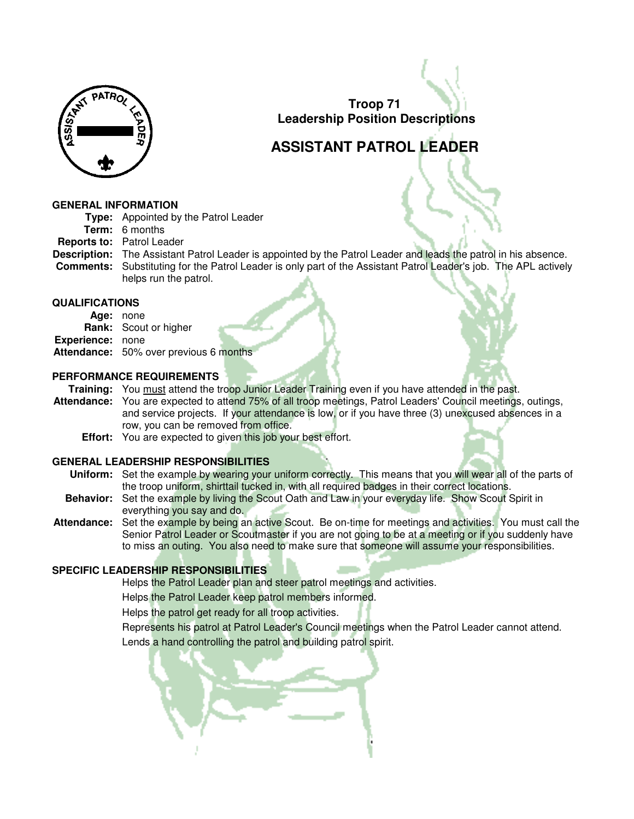

# **ASSISTANT PATROL LEADER**

#### **GENERAL INFORMATION**

- **Type:** Appointed by the Patrol Leader
- **Term:** 6 months
- **Reports to:** Patrol Leader
- **Description:** The Assistant Patrol Leader is appointed by the Patrol Leader and leads the patrol in his absence. **Comments:** Substituting for the Patrol Leader is only part of the Assistant Patrol Leader's job. The APL actively helps run the patrol.

#### **QUALIFICATIONS**

- **Age:** none
- **Rank:** Scout or higher
- **Experience:** none
- **Attendance:** 50% over previous 6 months

#### **PERFORMANCE REQUIREMENTS**

- **Training:** You must attend the troop Junior Leader Training even if you have attended in the past.
- **Attendance:** You are expected to attend 75% of all troop meetings, Patrol Leaders' Council meetings, outings, and service projects. If your attendance is low, or if you have three (3) unexcused absences in a row, you can be removed from office.
	- **Effort:** You are expected to given this job your best effort.

## **GENERAL LEADERSHIP RESPONSIBILITIES**

- **Uniform:** Set the example by wearing your uniform correctly. This means that you will wear all of the parts of the troop uniform, shirttail tucked in, with all required badges in their correct locations.
- **Behavior:** Set the example by living the Scout Oath and Law in your everyday life. Show Scout Spirit in everything you say and do.
- **Attendance:** Set the example by being an active Scout. Be on-time for meetings and activities. You must call the Senior Patrol Leader or Scoutmaster if you are not going to be at a meeting or if you suddenly have to miss an outing. You also need to make sure that someone will assume your responsibilities.

## **SPECIFIC LEADERSHIP RESPONSIBILITIES**

Helps the Patrol Leader plan and steer patrol meetings and activities.

Helps the Patrol Leader keep patrol members informed.

Helps the patrol get ready for all troop activities.

Represents his patrol at Patrol Leader's Council meetings when the Patrol Leader cannot attend.

Lends a hand controlling the patrol and building patrol spirit.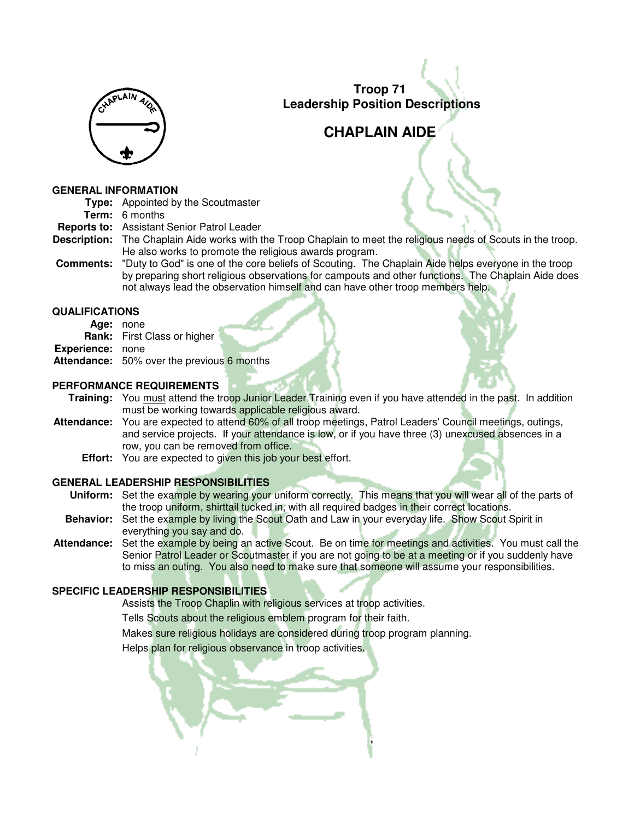

## **CHAPLAIN AIDE**

#### **GENERAL INFORMATION**

|  | <b>Type:</b> Appointed by the Scoutmaster |
|--|-------------------------------------------|
|--|-------------------------------------------|

**Term:** 6 months

**Reports to:** Assistant Senior Patrol Leader

- **Description:** The Chaplain Aide works with the Troop Chaplain to meet the religious needs of Scouts in the troop. He also works to promote the religious awards program.
- **Comments:** "Duty to God" is one of the core beliefs of Scouting. The Chaplain Aide helps everyone in the troop by preparing short religious observations for campouts and other functions. The Chaplain Aide does not always lead the observation himself and can have other troop members help.

#### **QUALIFICATIONS**

- **Age:** none
- **Rank:** First Class or higher
- **Experience:** none
- **Attendance:** 50% over the previous 6 months

#### **PERFORMANCE REQUIREMENTS**

**Training:** You must attend the troop Junior Leader Training even if you have attended in the past. In addition must be working towards applicable religious award.

- **Attendance:** You are expected to attend 60% of all troop meetings, Patrol Leaders' Council meetings, outings, and service projects. If your attendance is low, or if you have three (3) unexcused absences in a row, you can be removed from office.
	- **Effort:** You are expected to given this job your best effort.

## **GENERAL LEADERSHIP RESPONSIBILITIES**

- **Uniform:** Set the example by wearing your uniform correctly. This means that you will wear all of the parts of the troop uniform, shirttail tucked in, with all required badges in their correct locations.
- **Behavior:** Set the example by living the Scout Oath and Law in your everyday life. Show Scout Spirit in everything you say and do.
- **Attendance:** Set the example by being an active Scout. Be on time for meetings and activities. You must call the Senior Patrol Leader or Scoutmaster if you are not going to be at a meeting or if you suddenly have to miss an outing. You also need to make sure that someone will assume your responsibilities.

## **SPECIFIC LEADERSHIP RESPONSIBILITIES**

Assists the Troop Chaplin with religious services at troop activities.

Tells Scouts about the religious emblem program for their faith.

Makes sure religious holidays are considered during troop program planning.

Helps plan for religious observance in troop activities.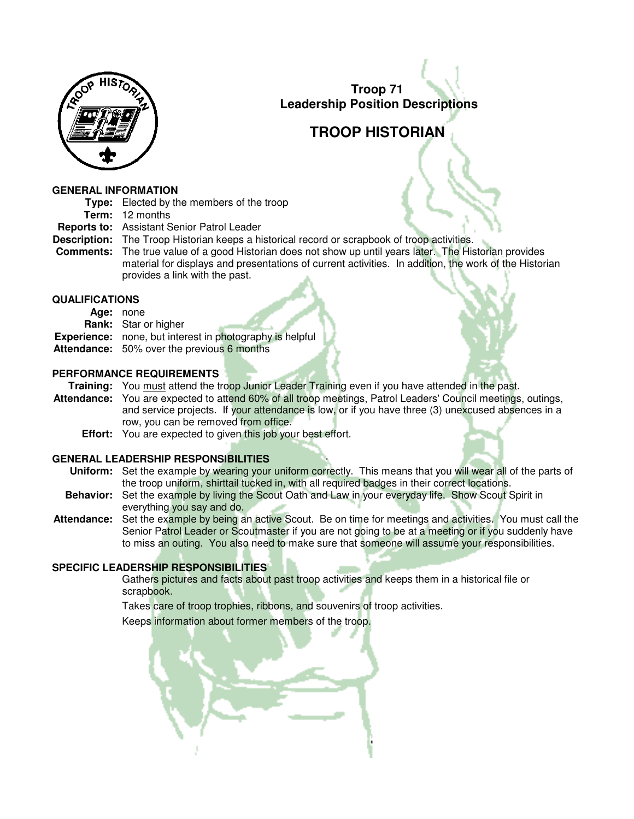

# **TROOP HISTORIAN**

#### **GENERAL INFORMATION**

- **Type:** Elected by the members of the troop
	- **Term:** 12 months
- **Reports to:** Assistant Senior Patrol Leader
- **Description:** The Troop Historian keeps a historical record or scrapbook of troop activities.
- **Comments:** The true value of a good Historian does not show up until years later. The Historian provides material for displays and presentations of current activities. In addition, the work of the Historian provides a link with the past.

## **QUALIFICATIONS**

| Age: | none |
|------|------|
|------|------|

- **Rank:** Star or higher
- **Experience:** none, but interest in photography is helpful
- **Attendance:** 50% over the previous 6 months

## **PERFORMANCE REQUIREMENTS**

**Training:** You must attend the troop Junior Leader Training even if you have attended in the past.

- **Attendance:** You are expected to attend 60% of all troop meetings, Patrol Leaders' Council meetings, outings, and service projects. If your attendance is low, or if you have three (3) unexcused absences in a row, you can be removed from office.
	- **Effort:** You are expected to given this job your best effort.

## **GENERAL LEADERSHIP RESPONSIBILITIES**

- **Uniform:** Set the example by wearing your uniform correctly. This means that you will wear all of the parts of the troop uniform, shirttail tucked in, with all required badges in their correct locations.
- **Behavior:** Set the example by living the Scout Oath and Law in your everyday life. Show Scout Spirit in everything you say and do.
- **Attendance:** Set the example by being an active Scout. Be on time for meetings and activities. You must call the Senior Patrol Leader or Scoutmaster if you are not going to be at a meeting or if you suddenly have to miss an outing. You also need to make sure that someone will assume your responsibilities.

## **SPECIFIC LEADERSHIP RESPONSIBILITIES**

 Gathers pictures and facts about past troop activities and keeps them in a historical file or scrapbook.

Takes care of troop trophies, ribbons, and souvenirs of troop activities.

Keeps information about former members of the troop.

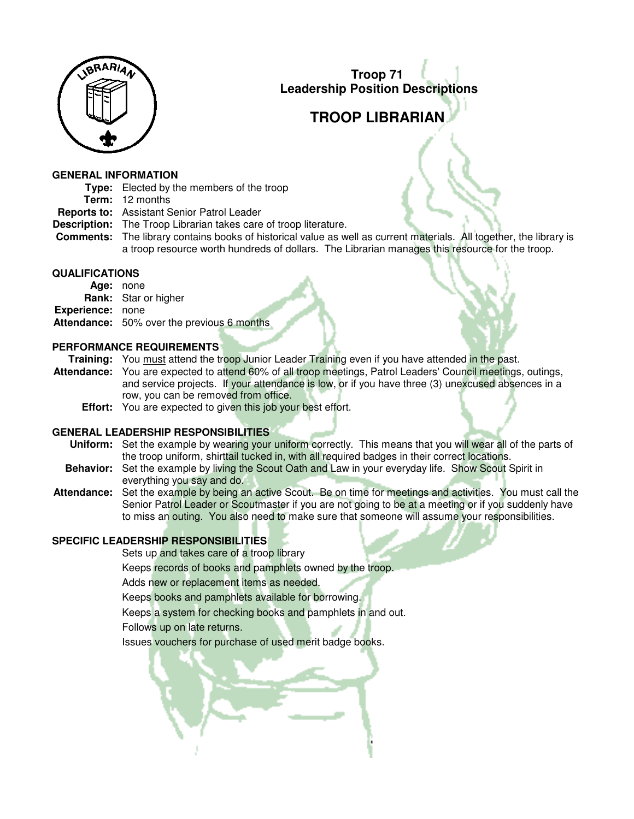

# **TROOP LIBRARIAN**

#### **GENERAL INFORMATION**

**Type:** Elected by the members of the troop

**Term:** 12 months

- **Reports to:** Assistant Senior Patrol Leader
- **Description:** The Troop Librarian takes care of troop literature.
- **Comments:** The library contains books of historical value as well as current materials. All together, the library is a troop resource worth hundreds of dollars. The Librarian manages this resource for the troop.

#### **QUALIFICATIONS**

**Age:** none **Rank:** Star or higher **Experience:** none **Attendance:** 50% over the previous 6 months

#### **PERFORMANCE REQUIREMENTS**

**Training:** You must attend the troop Junior Leader Training even if you have attended in the past.

**Attendance:** You are expected to attend 60% of all troop meetings, Patrol Leaders' Council meetings, outings, and service projects. If your attendance is low, or if you have three (3) unexcused absences in a row, you can be removed from office.

**Effort:** You are expected to given this job your best effort.

## **GENERAL LEADERSHIP RESPONSIBILITIES**

- **Uniform:** Set the example by wearing your uniform correctly. This means that you will wear all of the parts of the troop uniform, shirttail tucked in, with all required badges in their correct locations.
- **Behavior:** Set the example by living the Scout Oath and Law in your everyday life. Show Scout Spirit in everything you say and do.
- **Attendance:** Set the example by being an active Scout. Be on time for meetings and activities. You must call the Senior Patrol Leader or Scoutmaster if you are not going to be at a meeting or if you suddenly have to miss an outing. You also need to make sure that someone will assume your responsibilities.

## **SPECIFIC LEADERSHIP RESPONSIBILITIES**

Sets up and takes care of a troop library

Keeps records of books and pamphlets owned by the troop.

Adds new or replacement items as needed.

Keeps books and pamphlets available for borrowing.

Keeps a system for checking books and pamphlets in and out.

Follows up on late returns.

Issues vouchers for purchase of used merit badge books.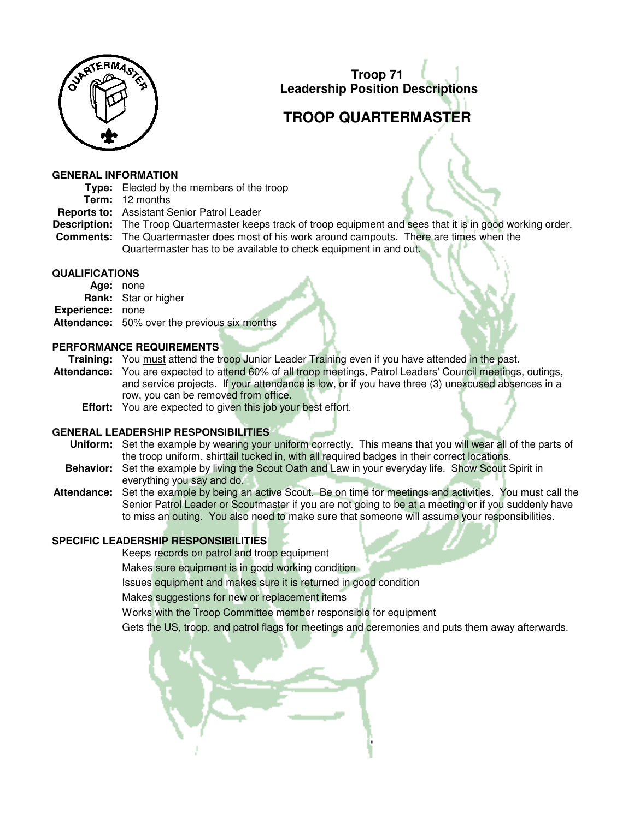

# **TROOP QUARTERMASTER**

#### **GENERAL INFORMATION**

**Type:** Elected by the members of the troop

**Term:** 12 months

- **Reports to:** Assistant Senior Patrol Leader
- **Description:** The Troop Quartermaster keeps track of troop equipment and sees that it is in good working order.
- **Comments:** The Quartermaster does most of his work around campouts. There are times when the Quartermaster has to be available to check equipment in and out.

#### **QUALIFICATIONS**

**Age:** none **Rank:** Star or higher **Experience:** none **Attendance:** 50% over the previous six months

## **PERFORMANCE REQUIREMENTS**

**Training:** You must attend the troop Junior Leader Training even if you have attended in the past.

**Attendance:** You are expected to attend 60% of all troop meetings, Patrol Leaders' Council meetings, outings, and service projects. If your attendance is low, or if you have three (3) unexcused absences in a row, you can be removed from office.

**Effort:** You are expected to given this job your best effort.

## **GENERAL LEADERSHIP RESPONSIBILITIES**

- **Uniform:** Set the example by wearing your uniform correctly. This means that you will wear all of the parts of the troop uniform, shirttail tucked in, with all required badges in their correct locations.
- **Behavior:** Set the example by living the Scout Oath and Law in your everyday life. Show Scout Spirit in everything you say and do.
- **Attendance:** Set the example by being an active Scout. Be on time for meetings and activities. You must call the Senior Patrol Leader or Scoutmaster if you are not going to be at a meeting or if you suddenly have to miss an outing. You also need to make sure that someone will assume your responsibilities.

## **SPECIFIC LEADERSHIP RESPONSIBILITIES**

Keeps records on patrol and troop equipment

Makes sure equipment is in good working condition

Issues equipment and makes sure it is returned in good condition

Makes suggestions for new or replacement items

Works with the Troop Committee member responsible for equipment

Gets the US, troop, and patrol flags for meetings and ceremonies and puts them away afterwards.

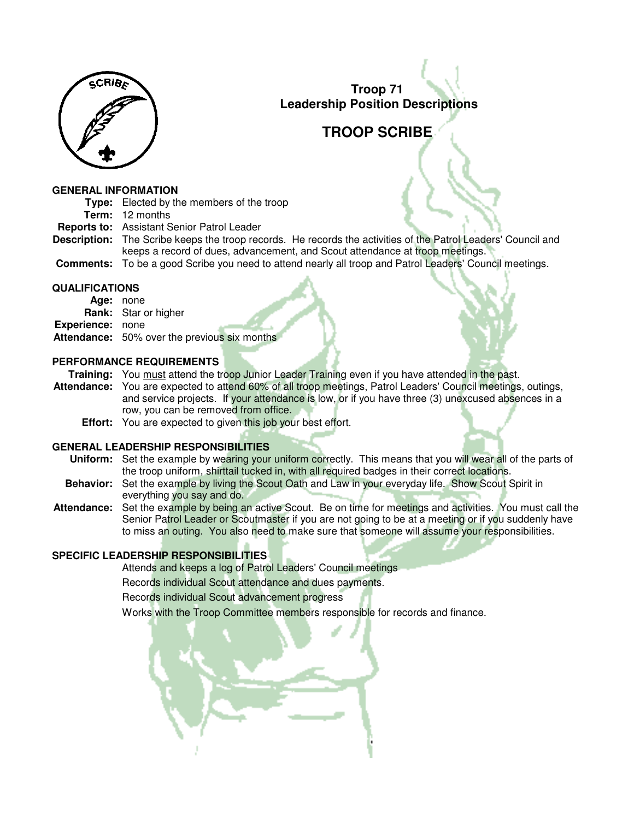

## **TROOP SCRIBE**

#### **GENERAL INFORMATION**

- **Type:** Elected by the members of the troop
	- **Term:** 12 months
- **Reports to:** Assistant Senior Patrol Leader
- **Description:** The Scribe keeps the troop records. He records the activities of the Patrol Leaders' Council and keeps a record of dues, advancement, and Scout attendance at troop meetings.
- **Comments:** To be a good Scribe you need to attend nearly all troop and Patrol Leaders' Council meetings.

## **QUALIFICATIONS**

**Age:** none **Rank:** Star or higher **Experience:** none **Attendance:** 50% over the previous six months

## **PERFORMANCE REQUIREMENTS**

**Training:** You must attend the troop Junior Leader Training even if you have attended in the past.

**Attendance:** You are expected to attend 60% of all troop meetings, Patrol Leaders' Council meetings, outings, and service projects. If your attendance is low, or if you have three (3) unexcused absences in a row, you can be removed from office.

**Effort:** You are expected to given this job your best effort.

## **GENERAL LEADERSHIP RESPONSIBILITIES**

- **Uniform:** Set the example by wearing your uniform correctly. This means that you will wear all of the parts of the troop uniform, shirttail tucked in, with all required badges in their correct locations.
- **Behavior:** Set the example by living the Scout Oath and Law in your everyday life. Show Scout Spirit in everything you say and do.
- **Attendance:** Set the example by being an active Scout. Be on time for meetings and activities. You must call the Senior Patrol Leader or Scoutmaster if you are not going to be at a meeting or if you suddenly have to miss an outing. You also need to make sure that someone will assume your responsibilities.

## **SPECIFIC LEADERSHIP RESPONSIBILITIES**

Attends and keeps a log of Patrol Leaders' Council meetings

Records individual Scout attendance and dues payments.

Records individual Scout advancement progress

Works with the Troop Committee members responsible for records and finance.

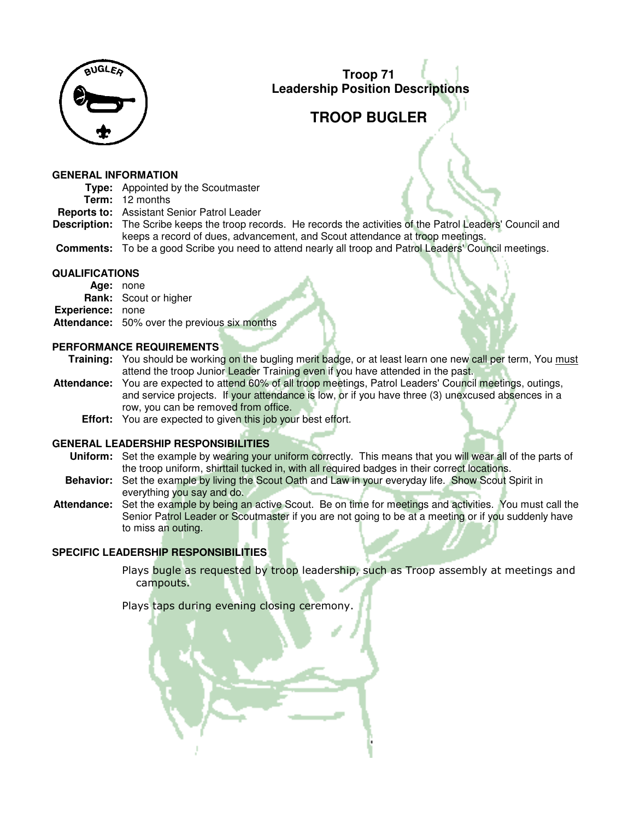

# **TROOP BUGLER**

#### **GENERAL INFORMATION**

**Type:** Appointed by the Scoutmaster **Term:** 12 months **Reports to:** Assistant Senior Patrol Leader **Description:** The Scribe keeps the troop records. He records the activities of the Patrol Leaders' Council and keeps a record of dues, advancement, and Scout attendance at troop meetings. **Comments:** To be a good Scribe you need to attend nearly all troop and Patrol Leaders' Council meetings.

#### **QUALIFICATIONS**

**Age:** none **Rank:** Scout or higher **Experience:** none **Attendance:** 50% over the previous six months

#### **PERFORMANCE REQUIREMENTS**

**Training:** You should be working on the bugling merit badge, or at least learn one new call per term, You must attend the troop Junior Leader Training even if you have attended in the past.

- **Attendance:** You are expected to attend 60% of all troop meetings, Patrol Leaders' Council meetings, outings, and service projects. If your attendance is low, or if you have three (3) unexcused absences in a row, you can be removed from office.
	- **Effort:** You are expected to given this job your best effort.

## **GENERAL LEADERSHIP RESPONSIBILITIES**

- **Uniform:** Set the example by wearing your uniform correctly. This means that you will wear all of the parts of the troop uniform, shirttail tucked in, with all required badges in their correct locations.
- **Behavior:** Set the example by living the Scout Oath and Law in your everyday life. Show Scout Spirit in everything you say and do.
- **Attendance:** Set the example by being an active Scout. Be on time for meetings and activities. You must call the Senior Patrol Leader or Scoutmaster if you are not going to be at a meeting or if you suddenly have to miss an outing.

## **SPECIFIC LEADERSHIP RESPONSIBILITIES**

Plays bugle as requested by troop leadership, such as Troop assembly at meetings and campouts.

Plays taps during evening closing ceremony.

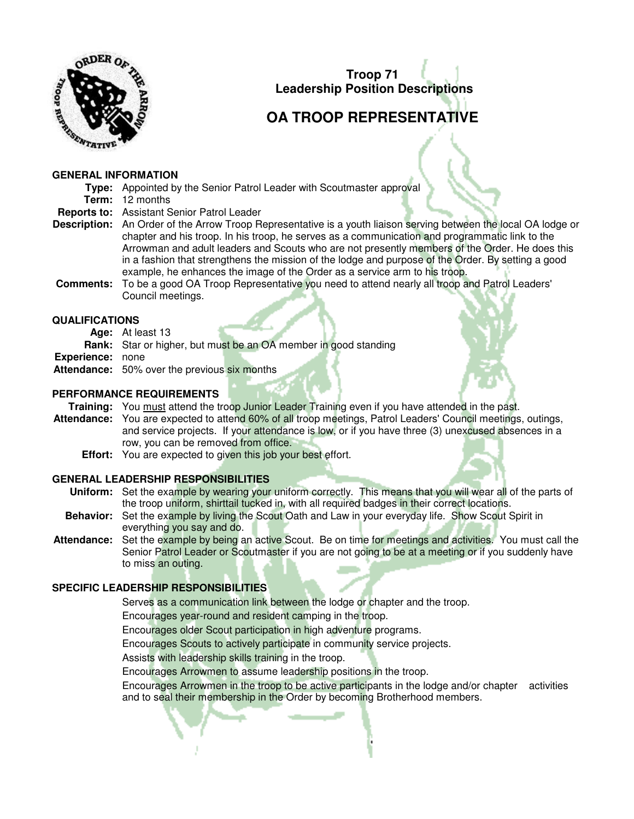

# **OA TROOP REPRESENTATIVE**

#### **GENERAL INFORMATION**

**Type:** Appointed by the Senior Patrol Leader with Scoutmaster approval **Term:** 12 months

- **Reports to:** Assistant Senior Patrol Leader
- **Description:** An Order of the Arrow Troop Representative is a youth liaison serving between the local OA lodge or chapter and his troop. In his troop, he serves as a communication and programmatic link to the Arrowman and adult leaders and Scouts who are not presently members of the Order. He does this in a fashion that strengthens the mission of the lodge and purpose of the Order. By setting a good example, he enhances the image of the Order as a service arm to his troop.
- **Comments:** To be a good OA Troop Representative you need to attend nearly all troop and Patrol Leaders' Council meetings.

## **QUALIFICATIONS**

- **Age:** At least 13
- **Rank:** Star or higher, but must be an OA member in good standing
- **Experience:** none
- **Attendance:** 50% over the previous six months

#### **PERFORMANCE REQUIREMENTS**

**Training:** You must attend the troop Junior Leader Training even if you have attended in the past.

- **Attendance:** You are expected to attend 60% of all troop meetings, Patrol Leaders' Council meetings, outings, and service projects. If your attendance is low, or if you have three (3) unexcused absences in a row, you can be removed from office.
	- **Effort:** You are expected to given this job your best effort.

## **GENERAL LEADERSHIP RESPONSIBILITIES**

- **Uniform:** Set the example by wearing your uniform correctly. This means that you will wear all of the parts of the troop uniform, shirttail tucked in, with all required badges in their correct locations.
- **Behavior:** Set the example by living the Scout Oath and Law in your everyday life. Show Scout Spirit in everything you say and do.
- **Attendance:** Set the example by being an active Scout. Be on time for meetings and activities. You must call the Senior Patrol Leader or Scoutmaster if you are not going to be at a meeting or if you suddenly have to miss an outing.

## **SPECIFIC LEADERSHIP RESPONSIBILITIES**

- Serves as a communication link between the lodge or chapter and the troop.
- Encourages year-round and resident camping in the troop.
- Encourages older Scout participation in high adventure programs.
- Encourages Scouts to actively participate in community service projects.
- Assists with leadership skills training in the troop.
- Encourages Arrowmen to assume leadership positions in the troop.

Encourages Arrowmen in the troop to be active participants in the lodge and/or chapter activities and to seal their membership in the Order by becoming Brotherhood members.